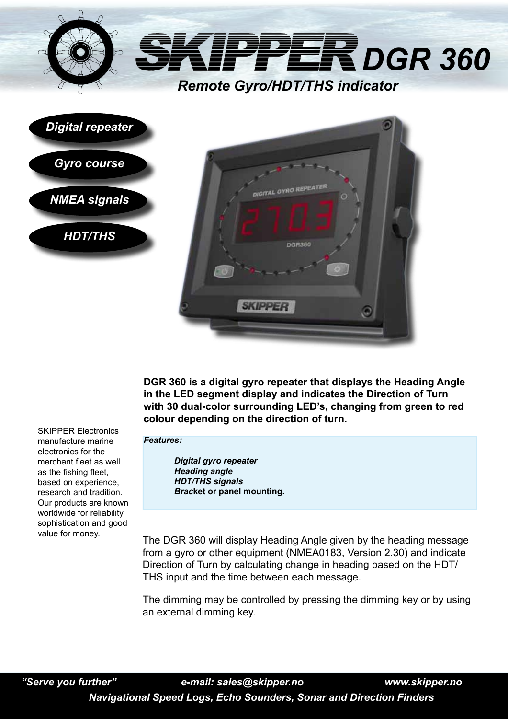

**ITAL GYRO REP** 

**SKIPPEF** 

**DGR360** 

**DGR 360 is a digital gyro repeater that displays the Heading Angle in the LED segment display and indicates the Direction of Turn with 30 dual-color surrounding LED's, changing from green to red colour depending on the direction of turn.**

SKIPPER Electronics manufacture marine electronics for the merchant fleet as well as the fishing fleet, based on experience, research and tradition. Our products are known worldwide for reliability, sophistication and good value for money.

*NMEA signals*

*HDT/THS*

*Features:*

*Digital gyro repeater Heading angle HDT/THS signals Brac***ket or panel mounting.**

The DGR 360 will display Heading Angle given by the heading message from a gyro or other equipment (NMEA0183, Version 2.30) and indicate Direction of Turn by calculating change in heading based on the HDT/ THS input and the time between each message.

The dimming may be controlled by pressing the dimming key or by using an external dimming key.